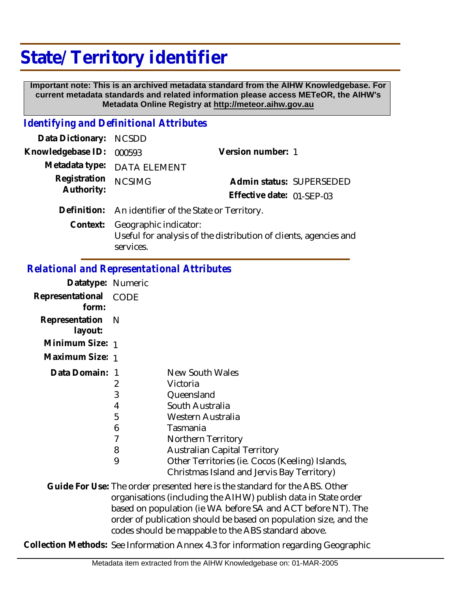## **State/ Territory identifier**

 **Important note: This is an archived metadata standard from the AIHW Knowledgebase. For current metadata standards and related information please access METeOR, the AIHW's Metadata Online Registry at http://meteor.aihw.gov.au**

## *Identifying and Definitional Attributes*

| Data Dictionary: NCSDD   |                                                      |                           |  |
|--------------------------|------------------------------------------------------|---------------------------|--|
| Knowledgebase ID: 000593 |                                                      | Version number: 1         |  |
|                          | Metadata type: DATA ELEMENT                          |                           |  |
| Registration             | <b>NCSIMG</b>                                        | Admin status: SUPERSEDED  |  |
| Authority:               |                                                      | Effective date: 01-SEP-03 |  |
|                          | Definition: An identifier of the State or Territory. |                           |  |
|                          | Context: Geographic indicator:                       |                           |  |

Useful for analysis of the distribution of clients, agencies and services.

## *Relational and Representational Attributes*

| Datatype: Numeric           |                                      |                                                                                                                                                                                                                                                             |
|-----------------------------|--------------------------------------|-------------------------------------------------------------------------------------------------------------------------------------------------------------------------------------------------------------------------------------------------------------|
| Representational<br>form:   | CODE                                 |                                                                                                                                                                                                                                                             |
| Representation N<br>layout: |                                      |                                                                                                                                                                                                                                                             |
| Minimum Size: 1             |                                      |                                                                                                                                                                                                                                                             |
| Maximum Size: 1             |                                      |                                                                                                                                                                                                                                                             |
| Data Domain: 1              | 2<br>3<br>4<br>5<br>6<br>7<br>8<br>9 | New South Wales<br>Victoria<br>Queensland<br>South Australia<br>Western Australia<br>Tasmania<br>Northern Territory<br><b>Australian Capital Territory</b><br>Other Territories (ie. Cocos (Keeling) Islands,<br>Christmas Island and Jervis Bay Territory) |
|                             |                                      | Guide For Use: The order presented here is the standard for the ABS. Other<br>organisations (including the AIHW) publish data in State ord                                                                                                                  |
|                             |                                      |                                                                                                                                                                                                                                                             |

organisations (including the AIHW) publish data in State order based on population (ie WA before SA and ACT before NT). The order of publication should be based on population size, and the codes should be mappable to the ABS standard above.

**Collection Methods:** See Information Annex 4.3 for information regarding Geographic